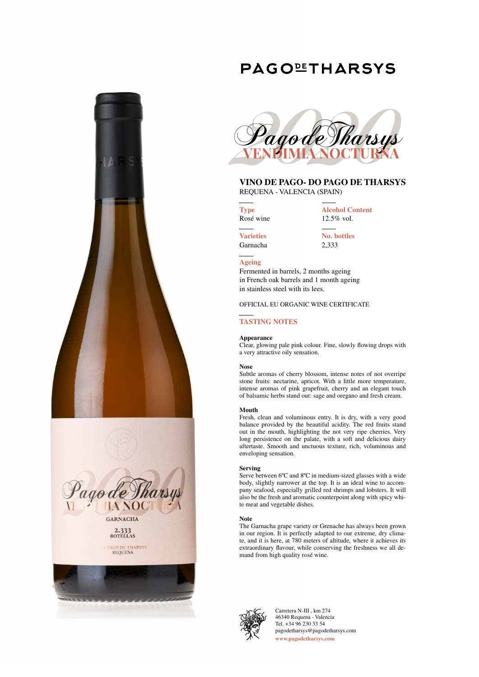## **PAGOLETHARSYS**





# 2.333<br>BOTELLAS

PAGO DE THARSYS<br>REQUENA





### **VINO DE PAGO- DO PAGO DE THARSYS**

REQUENA - VALENCIA (SPAIN)

**Type** Rosé wine **Alcohol Content** 12.5% vol.

**Varieties** Garnacha **No. bottles** 2,333

#### **Ageing**

Fermented in barrels, 2 months ageing in French oak barrels and 1 month ageing in stainless steel with its lees.

OFFICIAL EU ORGANIC WINE CERTIFICATE

#### **TASTING NOTES**

#### **Appearance**

Clear, glowing pale pink colour. Fine, slowly flowing drops with a very attractive oily sensation.

#### **Nose**

Subtle aromas of cherry blossom, intense notes of not overripe stone fruits: nectarine, apricot. With a little more temperature, intense aromas of pink grapefruit, cherry and an elegant touch of balsamic herbs stand out: sage and oregano and fresh cream.

#### **Mouth**

Fresh, clean and voluminous entry. It is dry, with a very good balance provided by the beautiful acidity. The red fruits stand out in the mouth, highlighting the not very ripe cherries. Very long persistence on the palate, with a soft and delicious dairy aftertaste. Smooth and unctuous texture, rich, voluminous and enveloping sensation.

#### **Serving**

Serve between 6ºC and 8ºC in medium-sized glasses with a wide body, slightly narrower at the top. It is an ideal wine to accompany seafood, especially grilled red shrimps and lobsters. It will also be the fresh and aromatic counterpoint along with spicy white meat and vegetable dishes.

#### **Note**

The Garnacha grape variety or Grenache has always been grown in our region. It is perfectly adapted to our extreme, dry climate, and it is here, at 780 meters of altitude, where it achieves its extraordinary flavour, while conserving the freshness we all demand from high quality rosé wine.



Carretera N-III , km 274 46340 Requena - Valencia Tel. +34 96 230 33 54 pagodetharsys@pagodetharsys.com **www.pagodetharsys.com**